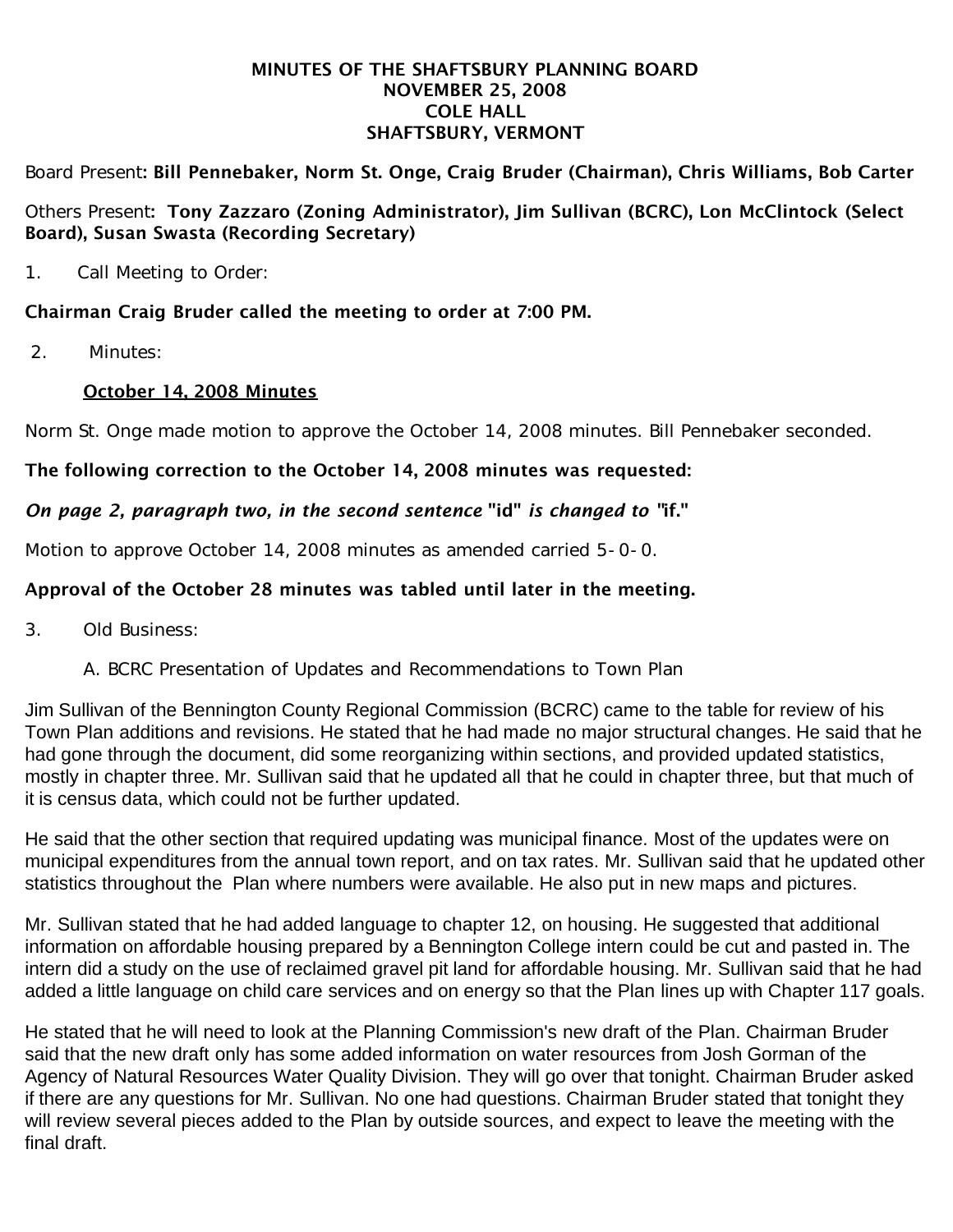#### MINUTES OF THE SHAFTSBURY PLANNING BOARD NOVEMBER 25, 2008 COLE HALL SHAFTSBURY, VERMONT

Board Present: Bill Pennebaker, Norm St. Onge, Craig Bruder (Chairman), Chris Williams, Bob Carter

### Others Present: Tony Zazzaro (Zoning Administrator), Jim Sullivan (BCRC), Lon McClintock (Select Board), Susan Swasta (Recording Secretary)

1. Call Meeting to Order:

# Chairman Craig Bruder called the meeting to order at 7:00 PM.

2. Minutes:

### October 14, 2008 Minutes

Norm St. Onge made motion to approve the October 14, 2008 minutes. Bill Pennebaker seconded.

### The following correction to the October 14, 2008 minutes was requested:

# *On page 2, paragraph two, in the second sentence* "id" *is changed to "*if."

Motion to approve October 14, 2008 minutes as amended carried 5-0-0.

# Approval of the October 28 minutes was tabled until later in the meeting.

- 3. Old Business:
	- A. BCRC Presentation of Updates and Recommendations to Town Plan

Jim Sullivan of the Bennington County Regional Commission (BCRC) came to the table for review of his Town Plan additions and revisions. He stated that he had made no major structural changes. He said that he had gone through the document, did some reorganizing within sections, and provided updated statistics, mostly in chapter three. Mr. Sullivan said that he updated all that he could in chapter three, but that much of it is census data, which could not be further updated.

He said that the other section that required updating was municipal finance. Most of the updates were on municipal expenditures from the annual town report, and on tax rates. Mr. Sullivan said that he updated other statistics throughout the Plan where numbers were available. He also put in new maps and pictures.

Mr. Sullivan stated that he had added language to chapter 12, on housing. He suggested that additional information on affordable housing prepared by a Bennington College intern could be cut and pasted in. The intern did a study on the use of reclaimed gravel pit land for affordable housing. Mr. Sullivan said that he had added a little language on child care services and on energy so that the Plan lines up with Chapter 117 goals.

He stated that he will need to look at the Planning Commission's new draft of the Plan. Chairman Bruder said that the new draft only has some added information on water resources from Josh Gorman of the Agency of Natural Resources Water Quality Division. They will go over that tonight. Chairman Bruder asked if there are any questions for Mr. Sullivan. No one had questions. Chairman Bruder stated that tonight they will review several pieces added to the Plan by outside sources, and expect to leave the meeting with the final draft.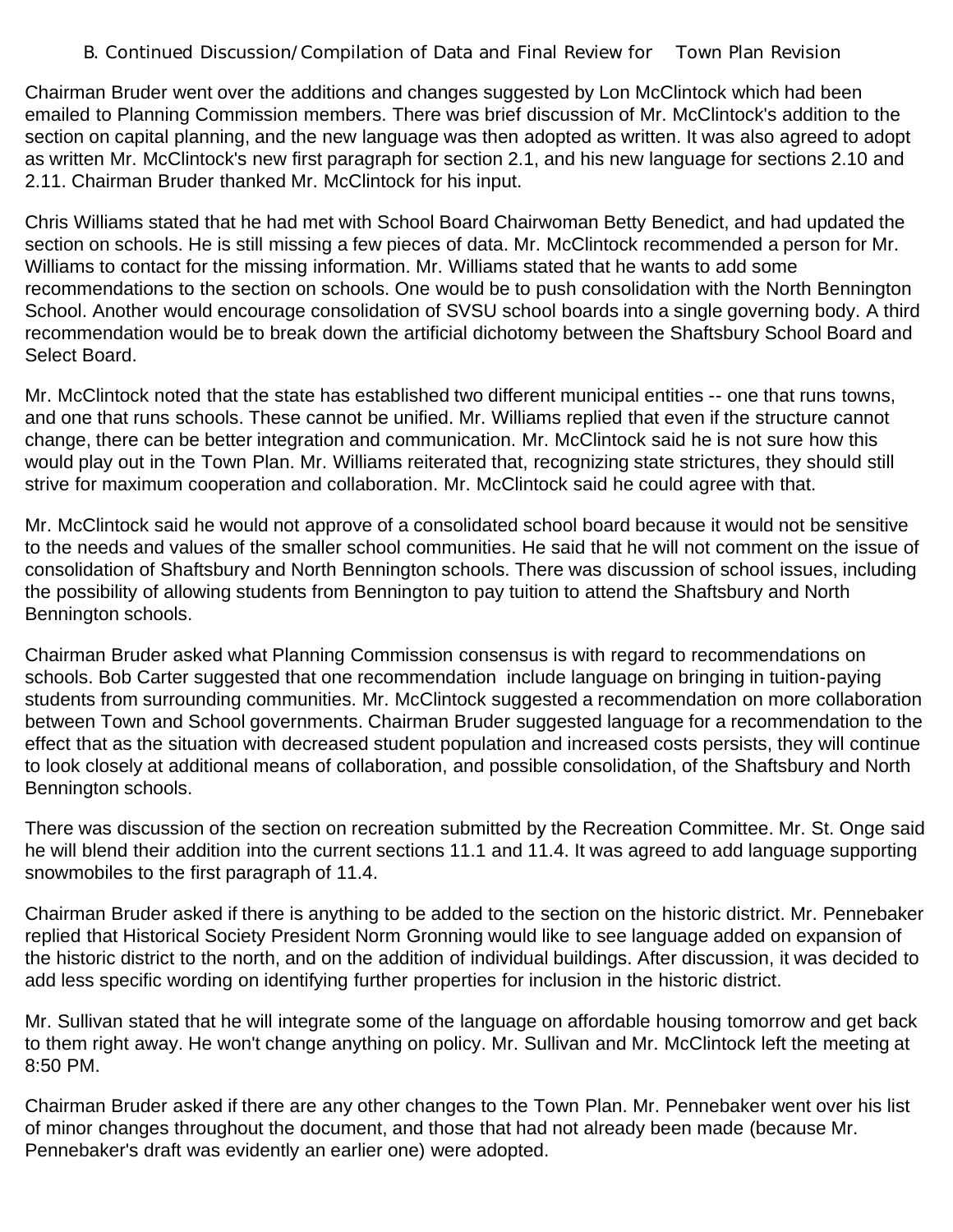#### B. Continued Discussion/Compilation of Data and Final Review for Town Plan Revision

Chairman Bruder went over the additions and changes suggested by Lon McClintock which had been emailed to Planning Commission members. There was brief discussion of Mr. McClintock's addition to the section on capital planning, and the new language was then adopted as written. It was also agreed to adopt as written Mr. McClintock's new first paragraph for section 2.1, and his new language for sections 2.10 and 2.11. Chairman Bruder thanked Mr. McClintock for his input.

Chris Williams stated that he had met with School Board Chairwoman Betty Benedict, and had updated the section on schools. He is still missing a few pieces of data. Mr. McClintock recommended a person for Mr. Williams to contact for the missing information. Mr. Williams stated that he wants to add some recommendations to the section on schools. One would be to push consolidation with the North Bennington School. Another would encourage consolidation of SVSU school boards into a single governing body. A third recommendation would be to break down the artificial dichotomy between the Shaftsbury School Board and Select Board.

Mr. McClintock noted that the state has established two different municipal entities -- one that runs towns, and one that runs schools. These cannot be unified. Mr. Williams replied that even if the structure cannot change, there can be better integration and communication. Mr. McClintock said he is not sure how this would play out in the Town Plan. Mr. Williams reiterated that, recognizing state strictures, they should still strive for maximum cooperation and collaboration. Mr. McClintock said he could agree with that.

Mr. McClintock said he would not approve of a consolidated school board because it would not be sensitive to the needs and values of the smaller school communities. He said that he will not comment on the issue of consolidation of Shaftsbury and North Bennington schools. There was discussion of school issues, including the possibility of allowing students from Bennington to pay tuition to attend the Shaftsbury and North Bennington schools.

Chairman Bruder asked what Planning Commission consensus is with regard to recommendations on schools. Bob Carter suggested that one recommendation include language on bringing in tuition-paying students from surrounding communities. Mr. McClintock suggested a recommendation on more collaboration between Town and School governments. Chairman Bruder suggested language for a recommendation to the effect that as the situation with decreased student population and increased costs persists, they will continue to look closely at additional means of collaboration, and possible consolidation, of the Shaftsbury and North Bennington schools.

There was discussion of the section on recreation submitted by the Recreation Committee. Mr. St. Onge said he will blend their addition into the current sections 11.1 and 11.4. It was agreed to add language supporting snowmobiles to the first paragraph of 11.4.

Chairman Bruder asked if there is anything to be added to the section on the historic district. Mr. Pennebaker replied that Historical Society President Norm Gronning would like to see language added on expansion of the historic district to the north, and on the addition of individual buildings. After discussion, it was decided to add less specific wording on identifying further properties for inclusion in the historic district.

Mr. Sullivan stated that he will integrate some of the language on affordable housing tomorrow and get back to them right away. He won't change anything on policy. Mr. Sullivan and Mr. McClintock left the meeting at 8:50 PM.

Chairman Bruder asked if there are any other changes to the Town Plan. Mr. Pennebaker went over his list of minor changes throughout the document, and those that had not already been made (because Mr. Pennebaker's draft was evidently an earlier one) were adopted.